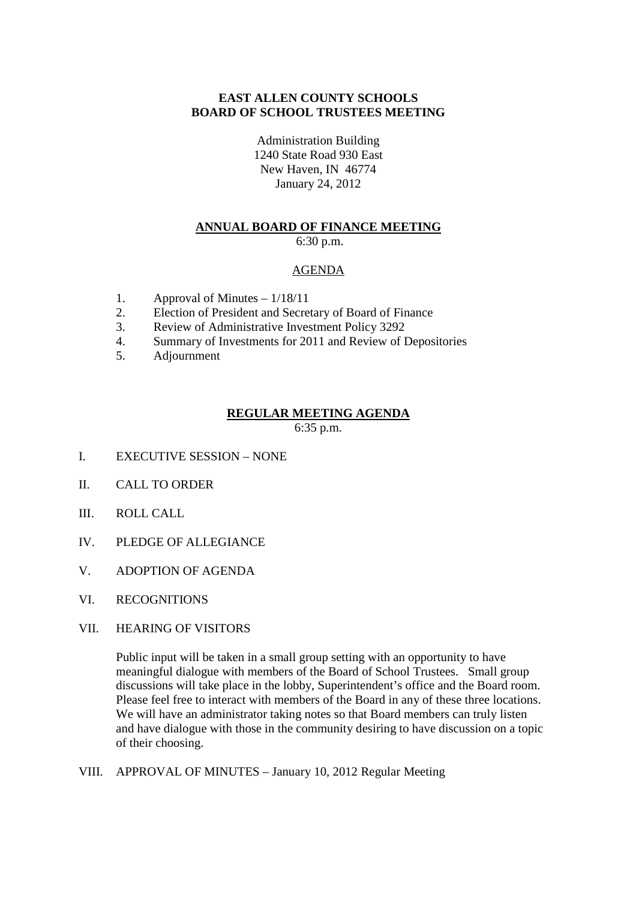#### **EAST ALLEN COUNTY SCHOOLS BOARD OF SCHOOL TRUSTEES MEETING**

Administration Building 1240 State Road 930 East New Haven, IN 46774 January 24, 2012

# **ANNUAL BOARD OF FINANCE MEETING**

6:30 p.m.

# AGENDA

- 1. Approval of Minutes  $-1/18/11$
- 2. Election of President and Secretary of Board of Finance
- 3. Review of Administrative Investment Policy 3292
- 4. Summary of Investments for 2011 and Review of Depositories
- 5. Adjournment

#### **REGULAR MEETING AGENDA**

6:35 p.m.

- I. EXECUTIVE SESSION NONE
- II. CALL TO ORDER
- III. ROLL CALL
- IV. PLEDGE OF ALLEGIANCE
- V. ADOPTION OF AGENDA
- VI. RECOGNITIONS
- VII. HEARING OF VISITORS

Public input will be taken in a small group setting with an opportunity to have meaningful dialogue with members of the Board of School Trustees. Small group discussions will take place in the lobby, Superintendent's office and the Board room. Please feel free to interact with members of the Board in any of these three locations. We will have an administrator taking notes so that Board members can truly listen and have dialogue with those in the community desiring to have discussion on a topic of their choosing.

VIII. APPROVAL OF MINUTES – January 10, 2012 Regular Meeting